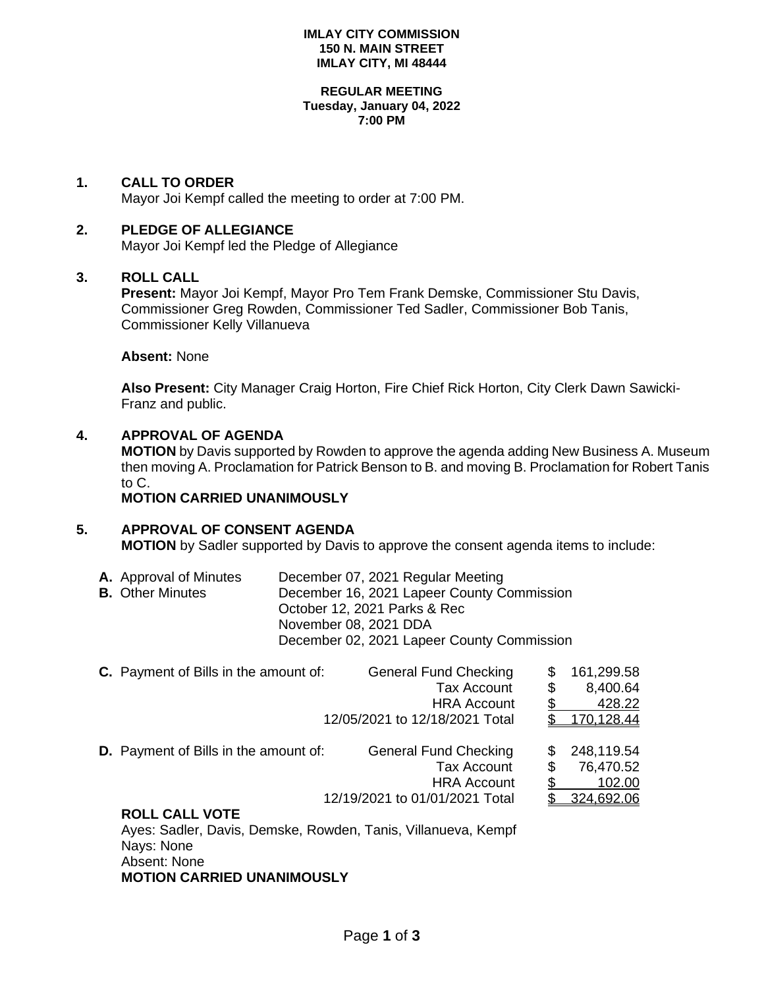#### **IMLAY CITY COMMISSION 150 N. MAIN STREET IMLAY CITY, MI 48444**

#### **REGULAR MEETING Tuesday, January 04, 2022 7:00 PM**

### **1. CALL TO ORDER**

Mayor Joi Kempf called the meeting to order at 7:00 PM.

#### **2. PLEDGE OF ALLEGIANCE**

Mayor Joi Kempf led the Pledge of Allegiance

#### **3. ROLL CALL**

**Present:** Mayor Joi Kempf, Mayor Pro Tem Frank Demske, Commissioner Stu Davis, Commissioner Greg Rowden, Commissioner Ted Sadler, Commissioner Bob Tanis, Commissioner Kelly Villanueva

#### **Absent:** None

**Also Present:** City Manager Craig Horton, Fire Chief Rick Horton, City Clerk Dawn Sawicki-Franz and public.

# **4. APPROVAL OF AGENDA**

**MOTION** by Davis supported by Rowden to approve the agenda adding New Business A. Museum then moving A. Proclamation for Patrick Benson to B. and moving B. Proclamation for Robert Tanis to C.

### **MOTION CARRIED UNANIMOUSLY**

# **5. APPROVAL OF CONSENT AGENDA**

**MOTION** by Sadler supported by Davis to approve the consent agenda items to include:

| <b>A.</b> Approval of Minutes | December 07, 2021 Regular Meeting          |
|-------------------------------|--------------------------------------------|
| <b>B.</b> Other Minutes       | December 16, 2021 Lapeer County Commission |
|                               | October 12, 2021 Parks & Rec               |
|                               | November 08, 2021 DDA                      |
|                               | December 02, 2021 Lapeer County Commission |

|  | <b>C.</b> Payment of Bills in the amount of:                  | <b>General Fund Checking</b>   | \$<br>161,299.58 |
|--|---------------------------------------------------------------|--------------------------------|------------------|
|  |                                                               | <b>Tax Account</b>             | \$<br>8,400.64   |
|  |                                                               | <b>HRA Account</b>             | 428.22           |
|  |                                                               | 12/05/2021 to 12/18/2021 Total | 170,128.44       |
|  | <b>D.</b> Payment of Bills in the amount of:                  | <b>General Fund Checking</b>   | \$<br>248,119.54 |
|  |                                                               | <b>Tax Account</b>             | 76,470.52        |
|  |                                                               | <b>HRA Account</b>             | 102.00           |
|  |                                                               | 12/19/2021 to 01/01/2021 Total | 324,692.06       |
|  | <b>ROLL CALL VOTE</b>                                         |                                |                  |
|  | Ayes: Sadler, Davis, Demske, Rowden, Tanis, Villanueva, Kempf |                                |                  |

Nays: None Absent: None **MOTION CARRIED UNANIMOUSLY**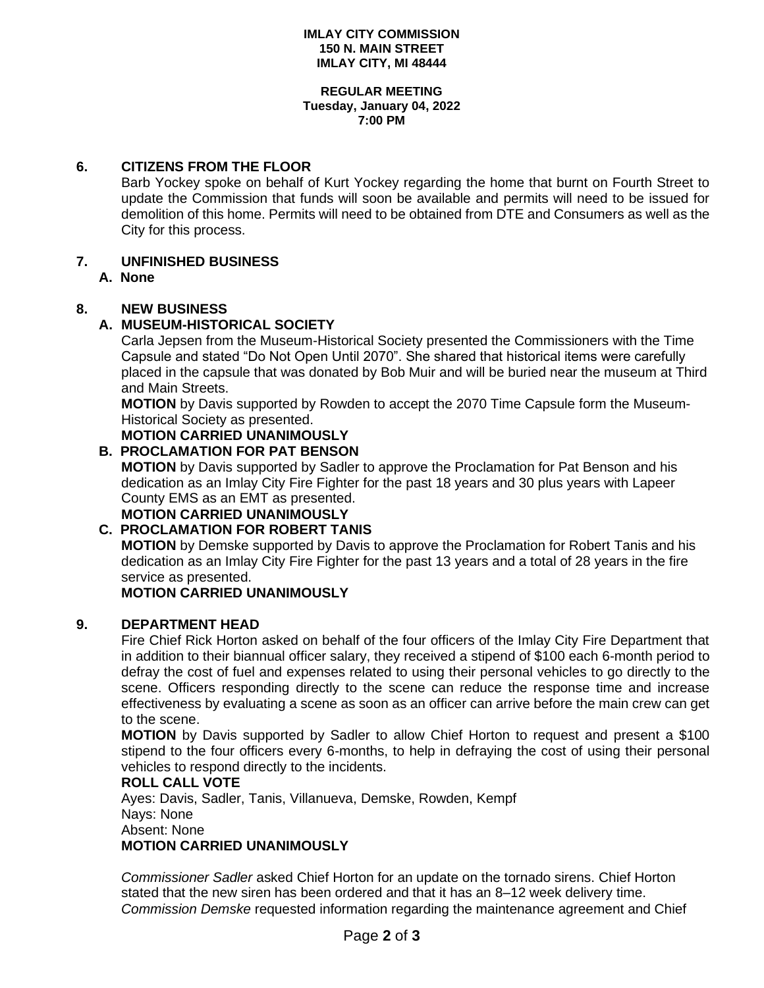#### **IMLAY CITY COMMISSION 150 N. MAIN STREET IMLAY CITY, MI 48444**

#### **REGULAR MEETING Tuesday, January 04, 2022 7:00 PM**

### **6. CITIZENS FROM THE FLOOR**

Barb Yockey spoke on behalf of Kurt Yockey regarding the home that burnt on Fourth Street to update the Commission that funds will soon be available and permits will need to be issued for demolition of this home. Permits will need to be obtained from DTE and Consumers as well as the City for this process.

# **7. UNFINISHED BUSINESS**

**A. None**

# **8. NEW BUSINESS**

# **A. MUSEUM-HISTORICAL SOCIETY**

Carla Jepsen from the Museum-Historical Society presented the Commissioners with the Time Capsule and stated "Do Not Open Until 2070". She shared that historical items were carefully placed in the capsule that was donated by Bob Muir and will be buried near the museum at Third and Main Streets.

**MOTION** by Davis supported by Rowden to accept the 2070 Time Capsule form the Museum-Historical Society as presented.

**MOTION CARRIED UNANIMOUSLY**

# **B. PROCLAMATION FOR PAT BENSON**

**MOTION** by Davis supported by Sadler to approve the Proclamation for Pat Benson and his dedication as an Imlay City Fire Fighter for the past 18 years and 30 plus years with Lapeer County EMS as an EMT as presented.

**MOTION CARRIED UNANIMOUSLY**

# **C. PROCLAMATION FOR ROBERT TANIS**

**MOTION** by Demske supported by Davis to approve the Proclamation for Robert Tanis and his dedication as an Imlay City Fire Fighter for the past 13 years and a total of 28 years in the fire service as presented.

# **MOTION CARRIED UNANIMOUSLY**

# **9. DEPARTMENT HEAD**

Fire Chief Rick Horton asked on behalf of the four officers of the Imlay City Fire Department that in addition to their biannual officer salary, they received a stipend of \$100 each 6-month period to defray the cost of fuel and expenses related to using their personal vehicles to go directly to the scene. Officers responding directly to the scene can reduce the response time and increase effectiveness by evaluating a scene as soon as an officer can arrive before the main crew can get to the scene.

**MOTION** by Davis supported by Sadler to allow Chief Horton to request and present a \$100 stipend to the four officers every 6-months, to help in defraying the cost of using their personal vehicles to respond directly to the incidents.

#### **ROLL CALL VOTE**

Ayes: Davis, Sadler, Tanis, Villanueva, Demske, Rowden, Kempf Nays: None Absent: None **MOTION CARRIED UNANIMOUSLY**

*Commissioner Sadler* asked Chief Horton for an update on the tornado sirens. Chief Horton stated that the new siren has been ordered and that it has an 8–12 week delivery time. *Commission Demske* requested information regarding the maintenance agreement and Chief